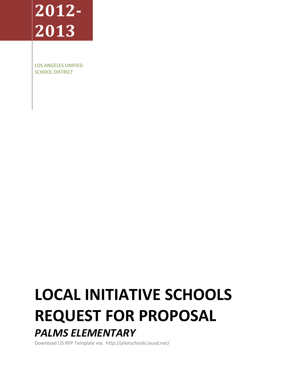# **2012- 2013**

LOS ANGELES UNIFIED SCHOOL DISTRICT

## **LOCAL INITIATIVE SCHOOLS REQUEST FOR PROPOSAL** *PALMS ELEMENTARY*

Download LIS RFP Template via: http://pilotschools.lausd.net/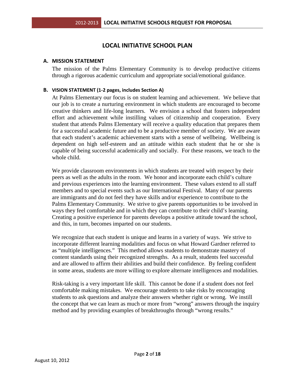## **LOCAL INITIATIVE SCHOOL PLAN**

## **A. MISSION STATEMENT**

The mission of the Palms Elementary Community is to develop productive citizens through a rigorous academic curriculum and appropriate social/emotional guidance.

## **B. VISION STATEMENT (1-2 pages, includes Section A)**

At Palms Elementary our focus is on student learning and achievement. We believe that our job is to create a nurturing environment in which students are encouraged to become creative thinkers and life-long learners. We envision a school that fosters independent effort and achievement while instilling values of citizenship and cooperation. Every student that attends Palms Elementary will receive a quality education that prepares them for a successful academic future and to be a productive member of society. We are aware that each student's academic achievement starts with a sense of wellbeing. Wellbeing is dependent on high self-esteem and an attitude within each student that he or she is capable of being successful academically and socially. For these reasons, we teach to the whole child.

We provide classroom environments in which students are treated with respect by their peers as well as the adults in the room. We honor and incorporate each child's culture and previous experiences into the learning environment. These values extend to all staff members and to special events such as our International Festival. Many of our parents are immigrants and do not feel they have skills and/or experience to contribute to the Palms Elementary Community. We strive to give parents opportunities to be involved in ways they feel comfortable and in which they can contribute to their child's learning. Creating a positive experience for parents develops a positive attitude toward the school, and this, in turn, becomes imparted on our students.

We recognize that each student is unique and learns in a variety of ways. We strive to incorporate different learning modalities and focus on what Howard Gardner referred to as "multiple intelligences." This method allows students to demonstrate mastery of content standards using their recognized strengths. As a result, students feel successful and are allowed to affirm their abilities and build their confidence. By feeling confident in some areas, students are more willing to explore alternate intelligences and modalities.

Risk-taking is a very important life skill. This cannot be done if a student does not feel comfortable making mistakes. We encourage students to take risks by encouraging students to ask questions and analyze their answers whether right or wrong. We instill the concept that we can learn as much or more from "wrong" answers through the inquiry method and by providing examples of breakthroughs through "wrong results."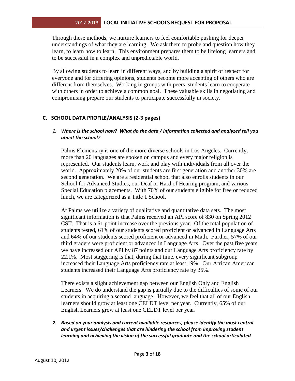Through these methods, we nurture learners to feel comfortable pushing for deeper understandings of what they are learning. We ask them to probe and question how they learn, to learn how to learn. This environment prepares them to be lifelong learners and to be successful in a complex and unpredictable world.

By allowing students to learn in different ways, and by building a spirit of respect for everyone and for differing opinions, students become more accepting of others who are different from themselves. Working in groups with peers, students learn to cooperate with others in order to achieve a common goal. These valuable skills in negotiating and compromising prepare our students to participate successfully in society.

## **C. SCHOOL DATA PROFILE/ANALYSIS (2-3 pages)**

## *1. Where is the school now? What do the data / information collected and analyzed tell you about the school?*

Palms Elementary is one of the more diverse schools in Los Angeles. Currently, more than 20 languages are spoken on campus and every major religion is represented. Our students learn, work and play with individuals from all over the world. Approximately 20% of our students are first generation and another 30% are second generation. We are a residential school that also enrolls students in our School for Advanced Studies, our Deaf or Hard of Hearing program, and various Special Education placements. With 70% of our students eligible for free or reduced lunch, we are categorized as a Title 1 School.

At Palms we utilize a variety of qualitative and quantitative data sets. The most significant information is that Palms received an API score of 830 on Spring 2012 CST. That is a 61 point increase over the previous year. Of the total population of students tested, 61% of our students scored proficient or advanced in Language Arts and 64% of our students scored proficient or advanced in Math. Further, 57% of our third graders were proficient or advanced in Language Arts. Over the past five years, we have increased our API by 87 points and our Language Arts proficiency rate by 22.1%. Most staggering is that, during that time, every significant subgroup increased their Language Arts proficiency rate at least 19%. Our African American students increased their Language Arts proficiency rate by 35%.

There exists a slight achievement gap between our English Only and English Learners. We do understand the gap is partially due to the difficulties of some of our students in acquiring a second language. However, we feel that all of our English learners should grow at least one CELDT level per year. Currently, 65% of our English Learners grow at least one CELDT level per year.

*2. Based on your analysis and current available resources, please identify the most central and urgent issues/challenges that are hindering the school from improving student learning and achieving the vision of the successful graduate and the school articulated*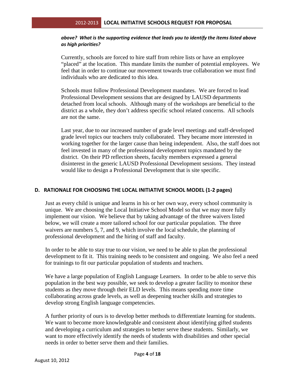## *above? What is the supporting evidence that leads you to identify the items listed above as high priorities?*

Currently, schools are forced to hire staff from rehire lists or have an employee "placed" at the location. This mandate limits the number of potential employees. We feel that in order to continue our movement towards true collaboration we must find individuals who are dedicated to this idea.

Schools must follow Professional Development mandates. We are forced to lead Professional Development sessions that are designed by LAUSD departments detached from local schools. Although many of the workshops are beneficial to the district as a whole, they don't address specific school related concerns. All schools are not the same.

Last year, due to our increased number of grade level meetings and staff-developed grade level topics our teachers truly collaborated. They became more interested in working together for the larger cause than being independent. Also, the staff does not feel invested in many of the professional development topics mandated by the district. On their PD reflection sheets, faculty members expressed a general disinterest in the generic LAUSD Professional Development sessions. They instead would like to design a Professional Development that is site specific.

## **D. RATIONALE FOR CHOOSING THE LOCAL INITIATIVE SCHOOL MODEL (1-2 pages)**

Just as every child is unique and learns in his or her own way, every school community is unique. We are choosing the Local Initiative School Model so that we may more fully implement our vision. We believe that by taking advantage of the three waivers listed below, we will create a more tailored school for our particular population. The three waivers are numbers 5, 7, and 9, which involve the local schedule, the planning of professional development and the hiring of staff and faculty.

In order to be able to stay true to our vision, we need to be able to plan the professional development to fit it. This training needs to be consistent and ongoing. We also feel a need for trainings to fit our particular population of students and teachers.

We have a large population of English Language Learners. In order to be able to serve this population in the best way possible, we seek to develop a greater facility to monitor these students as they move through their ELD levels. This means spending more time collaborating across grade levels, as well as deepening teacher skills and strategies to develop strong English language competencies.

A further priority of ours is to develop better methods to differentiate learning for students. We want to become more knowledgeable and consistent about identifying gifted students and developing a curriculum and strategies to better serve these students. Similarly, we want to more effectively identify the needs of students with disabilities and other special needs in order to better serve them and their families.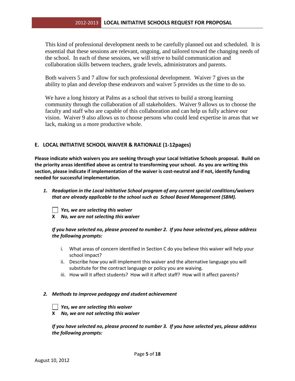This kind of professional development needs to be carefully planned out and scheduled. It is essential that these sessions are relevant, ongoing, and tailored toward the changing needs of the school. In each of these sessions, we will strive to build communication and collaboration skills between teachers, grade levels, administrators and parents.

Both waivers 5 and 7 allow for such professional development. Waiver 7 gives us the ability to plan and develop these endeavors and waiver 5 provides us the time to do so.

We have a long history at Palms as a school that strives to build a strong learning community through the collaboration of all stakeholders. Waiver 9 allows us to choose the faculty and staff who are capable of this collaboration and can help us fully achieve our vision. Waiver 9 also allows us to choose persons who could lend expertise in areas that we lack, making us a more productive whole.

## **E. LOCAL INITIATIVE SCHOOL WAIVER & RATIONALE (1-12pages)**

**Please indicate which waivers you are seeking through your Local Initiative Schools proposal. Build on the priority areas identified above as central to transforming your school. As you are writing this section, please indicate if implementation of the waiver is cost-neutral and if not, identify funding needed for successful implementation.** 

*1. Readoption in the Local Inititative School program of any current special conditions/waivers that are already applicable to the school such as School Based Management (SBM).* 

*Yes, we are selecting this waiver*

**X** *No, we are not selecting this waiver*

## *If you have selected no, please proceed to number 2. If you have selected yes, please address the following prompts:*

- i. What areas of concern identified in Section C do you believe this waiver will help your school impact?
- ii. Describe how you will implement this waiver and the alternative language you will substitute for the contract language or policy you are waiving.
- iii. How will it affect students? How will it affect staff? How will it affect parents?

#### *2. Methods to improve pedagogy and student achievement*



 *Yes, we are selecting this waiver*

**X** *No, we are not selecting this waiver*

*If you have selected no, please proceed to number 3. If you have selected yes, please address the following prompts:*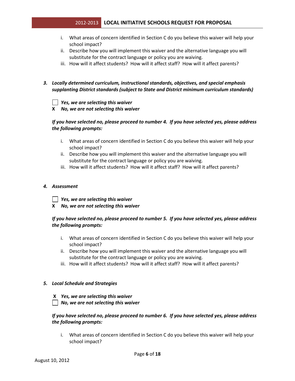- i. What areas of concern identified in Section C do you believe this waiver will help your school impact?
- ii. Describe how you will implement this waiver and the alternative language you will substitute for the contract language or policy you are waiving.
- iii. How will it affect students? How will it affect staff? How will it affect parents?

## *3. Locally determined curriculum, instructional standards, objectives, and special emphasis supplanting District standards (subject to State and District minimum curriculum standards)*

#### *Yes, we are selecting this waiver*

**X** *No, we are not selecting this waiver*

## *If you have selected no, please proceed to number 4. If you have selected yes, please address the following prompts:*

- i. What areas of concern identified in Section C do you believe this waiver will help your school impact?
- ii. Describe how you will implement this waiver and the alternative language you will substitute for the contract language or policy you are waiving.
- iii. How will it affect students? How will it affect staff? How will it affect parents?

#### *4. Assessment*

- *Yes, we are selecting this waiver*
- **X** *No, we are not selecting this waiver*

## *If you have selected no, please proceed to number 5. If you have selected yes, please address the following prompts:*

- i. What areas of concern identified in Section C do you believe this waiver will help your school impact?
- ii. Describe how you will implement this waiver and the alternative language you will substitute for the contract language or policy you are waiving.
- iii. How will it affect students? How will it affect staff? How will it affect parents?

#### *5. Local Schedule and Strategies*

#### **X** *Yes, we are selecting this waiver*

 *No, we are not selecting this waiver*

## *If you have selected no, please proceed to number 6. If you have selected yes, please address the following prompts:*

i. What areas of concern identified in Section C do you believe this waiver will help your school impact?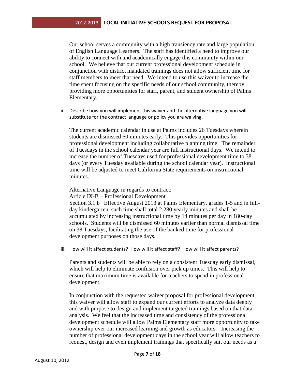Our school serves a community with a high transiency rate and large population of English Language Learners. The staff has identified a need to improve our ability to connect with and academically engage this community within our school. We believe that our current professional development schedule in conjunction with district mandated trainings does not allow sufficient time for staff members to meet that need. We intend to use this waiver to increase the time spent focusing on the specific needs of our school community, thereby providing more opportunities for staff, parent, and student ownership of Palms Elementary.

ii. Describe how you will implement this waiver and the alternative language you will substitute for the contract language or policy you are waiving.

The current academic calendar in use at Palms includes 26 Tuesdays wherein students are dismissed 60 minutes early. This provides opportunities for professional development including collaborative planning time. The remainder of Tuesdays in the school calendar year are full instructional days. We intend to increase the number of Tuesdays used for professional development time to 38 days (or every Tuesday available during the school calendar year). Instructional time will be adjusted to meet California State requirements on instructional minutes.

Alternative Language in regards to contract:

Article IX-B – Professional Development

Section 3.1 b Effective August 2013 at Palms Elementary, grades 1-5 and in fullday kindergarten, such time shall total 2,280 yearly minutes and shall be accumulated by increasing instructional time by 14 minutes per day in 180-day schools. Students will be dismissed 60 minutes earlier than normal dismissal time on 38 Tuesdays, facilitating the use of the banked time for professional development purposes on those days.

iii. How will it affect students? How will it affect staff? How will it affect parents?

Parents and students will be able to rely on a consistent Tuesday early dismissal, which will help to eliminate confusion over pick up times. This will help to ensure that maximum time is available for teachers to spend in professional development.

In conjunction with the requested waiver proposal for professional development, this waiver will allow staff to expand our current efforts to analyze data deeply and with purpose to design and implement targeted trainings based on that data analysis. We feel that the increased time and consistency of the professional development schedule will allow Palms Elementary staff more opportunity to take ownership over our increased learning and growth as educators. Increasing the number of professional development days in the school year will allow teachers to request, design and even implement trainings that specifically suit our needs as a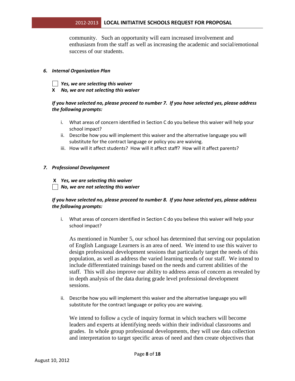community. Such an opportunity will earn increased involvement and enthusiasm from the staff as well as increasing the academic and social/emotional success of our students.

## *6. Internal Organization Plan*

- *Yes, we are selecting this waiver*
- **X** *No, we are not selecting this waiver*

## *If you have selected no, please proceed to number 7. If you have selected yes, please address the following prompts:*

- i. What areas of concern identified in Section C do you believe this waiver will help your school impact?
- ii. Describe how you will implement this waiver and the alternative language you will substitute for the contract language or policy you are waiving.
- iii. How will it affect students? How will it affect staff? How will it affect parents?

## *7. Professional Development*

- **X** *Yes, we are selecting this waiver*
- *No, we are not selecting this waiver*

## *If you have selected no, please proceed to number 8. If you have selected yes, please address the following prompts:*

i. What areas of concern identified in Section C do you believe this waiver will help your school impact?

As mentioned in Number 5, our school has determined that serving our population of English Language Learners is an area of need. We intend to use this waiver to design professional development sessions that particularly target the needs of this population, as well as address the varied learning needs of our staff. We intend to include differentiated trainings based on the needs and current abilities of the staff. This will also improve our ability to address areas of concern as revealed by in depth analysis of the data during grade level professional development sessions.

ii. Describe how you will implement this waiver and the alternative language you will substitute for the contract language or policy you are waiving.

We intend to follow a cycle of inquiry format in which teachers will become leaders and experts at identifying needs within their individual classrooms and grades. In whole group professional developments, they will use data collection and interpretation to target specific areas of need and then create objectives that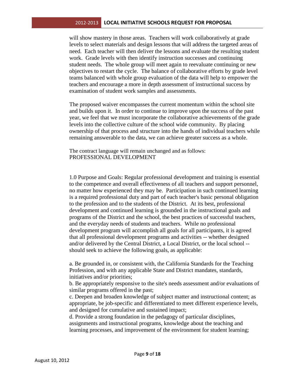will show mastery in those areas. Teachers will work collaboratively at grade levels to select materials and design lessons that will address the targeted areas of need. Each teacher will then deliver the lessons and evaluate the resulting student work. Grade levels with then identify instruction successes and continuing student needs. The whole group will meet again to reevaluate continuing or new objectives to restart the cycle. The balance of collaborative efforts by grade level teams balanced with whole group evaluation of the data will help to empower the teachers and encourage a more in depth assessment of instructional success by examination of student work samples and assessments.

The proposed waiver encompasses the current momentum within the school site and builds upon it. In order to continue to improve upon the success of the past year, we feel that we must incorporate the collaborative achievements of the grade levels into the collective culture of the school wide community. By placing ownership of that process and structure into the hands of individual teachers while remaining answerable to the data, we can achieve greater success as a whole.

The contract language will remain unchanged and as follows: PROFESSIONAL DEVELOPMENT

1.0 Purpose and Goals: Regular professional development and training is essential to the competence and overall effectiveness of all teachers and support personnel, no matter how experienced they may be. Participation in such continued learning is a required professional duty and part of each teacher's basic personal obligation to the profession and to the students of the District. At its best, professional development and continued learning is grounded in the instructional goals and programs of the District and the school, the best practices of successful teachers, and the everyday needs of students and teachers. While no professional development program will accomplish all goals for all participants, it is agreed that all professional development programs and activities -- whether designed and/or delivered by the Central District, a Local District, or the local school - should seek to achieve the following goals, as applicable:

a. Be grounded in, or consistent with, the California Standards for the Teaching Profession, and with any applicable State and District mandates, standards, initiatives and/or priorities;

b. Be appropriately responsive to the site's needs assessment and/or evaluations of similar programs offered in the past;

c. Deepen and broaden knowledge of subject matter and instructional content; as appropriate, be job-specific and differentiated to meet different experience levels, and designed for cumulative and sustained impact;

d. Provide a strong foundation in the pedagogy of particular disciplines, assignments and instructional programs, knowledge about the teaching and learning processes, and improvement of the environment for student learning;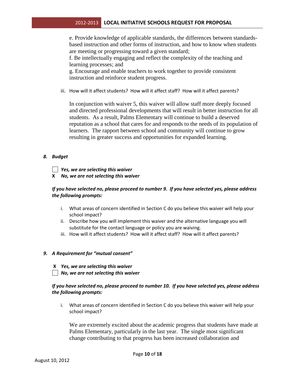e. Provide knowledge of applicable standards, the differences between standardsbased instruction and other forms of instruction, and how to know when students are meeting or progressing toward a given standard;

f. Be intellectually engaging and reflect the complexity of the teaching and learning processes; and

g. Encourage and enable teachers to work together to provide consistent instruction and reinforce student progress.

iii. How will it affect students? How will it affect staff? How will it affect parents?

In conjunction with waiver 5, this waiver will allow staff more deeply focused and directed professional developments that will result in better instruction for all students. As a result, Palms Elementary will continue to build a deserved reputation as a school that cares for and responds to the needs of its population of learners. The rapport between school and community will continue to grow resulting in greater success and opportunities for expanded learning.

## *8. Budget*

*Yes, we are selecting this waiver*

**X** *No, we are not selecting this waiver*

## *If you have selected no, please proceed to number 9. If you have selected yes, please address the following prompts:*

- i. What areas of concern identified in Section C do you believe this waiver will help your school impact?
- ii. Describe how you will implement this waiver and the alternative language you will substitute for the contact language or policy you are waiving.
- iii. How will it affect students? How will it affect staff? How will it affect parents?

## *9. A Requirement for "mutual consent"*

- **X** *Yes, we are selecting this waiver*
- *No, we are not selecting this waiver*

## *If you have selected no, please proceed to number 10. If you have selected yes, please address the following prompts:*

i. What areas of concern identified in Section C do you believe this waiver will help your school impact?

We are extremely excited about the academic progress that students have made at Palms Elementary, particularly in the last year. The single most significant change contributing to that progress has been increased collaboration and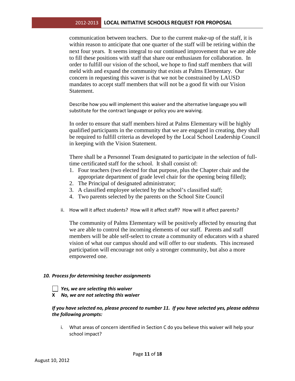communication between teachers. Due to the current make-up of the staff, it is within reason to anticipate that one quarter of the staff will be retiring within the next four years. It seems integral to our continued improvement that we are able to fill these positions with staff that share our enthusiasm for collaboration. In order to fulfill our vision of the school, we hope to find staff members that will meld with and expand the community that exists at Palms Elementary. Our concern in requesting this waver is that we not be constrained by LAUSD mandates to accept staff members that will not be a good fit with our Vision Statement.

Describe how you will implement this waiver and the alternative language you will substitute for the contract language or policy you are waiving.

In order to ensure that staff members hired at Palms Elementary will be highly qualified participants in the community that we are engaged in creating, they shall be required to fulfill criteria as developed by the Local School Leadership Council in keeping with the Vision Statement.

There shall be a Personnel Team designated to participate in the selection of fulltime certificated staff for the school. It shall consist of:

- 1. Four teachers (two elected for that purpose, plus the Chapter chair and the appropriate department of grade level chair for the opening being filled);
- 2. The Principal of designated administrator;
- 3. A classified employee selected by the school's classified staff;
- 4. Two parents selected by the parents on the School Site Council
- ii. How will it affect students? How will it affect staff? How will it affect parents?

The community of Palms Elementary will be positively affected by ensuring that we are able to control the incoming elements of our staff. Parents and staff members will be able self-select to create a community of educators with a shared vision of what our campus should and will offer to our students. This increased participation will encourage not only a stronger community, but also a more empowered one.

#### *10. Process for determining teacher assignments*

- *Yes, we are selecting this waiver*
- **X** *No, we are not selecting this waiver*

## *If you have selected no, please proceed to number 11. If you have selected yes, please address the following prompts:*

i. What areas of concern identified in Section C do you believe this waiver will help your school impact?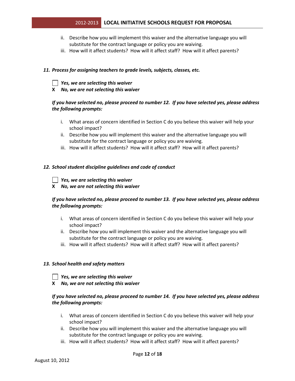- ii. Describe how you will implement this waiver and the alternative language you will substitute for the contract language or policy you are waiving.
- iii. How will it affect students? How will it affect staff? How will it affect parents?

## *11. Process for assigning teachers to grade levels, subjects, classes, etc.*

 *Yes, we are selecting this waiver*

**X** *No, we are not selecting this waiver*

## *If you have selected no, please proceed to number 12. If you have selected yes, please address the following prompts:*

- i. What areas of concern identified in Section C do you believe this waiver will help your school impact?
- ii. Describe how you will implement this waiver and the alternative language you will substitute for the contract language or policy you are waiving.
- iii. How will it affect students? How will it affect staff? How will it affect parents?

#### *12. School student discipline guidelines and code of conduct*

 *Yes, we are selecting this waiver*

**X** *No, we are not selecting this waiver*

## *If you have selected no, please proceed to number 13. If you have selected yes, please address the following prompts:*

- i. What areas of concern identified in Section C do you believe this waiver will help your school impact?
- ii. Describe how you will implement this waiver and the alternative language you will substitute for the contract language or policy you are waiving.
- iii. How will it affect students? How will it affect staff? How will it affect parents?

#### *13. School health and safety matters*

*Yes, we are selecting this waiver*

**X** *No, we are not selecting this waiver*

## *If you have selected no, please proceed to number 14. If you have selected yes, please address the following prompts:*

- i. What areas of concern identified in Section C do you believe this waiver will help your school impact?
- ii. Describe how you will implement this waiver and the alternative language you will substitute for the contract language or policy you are waiving.
- iii. How will it affect students? How will it affect staff? How will it affect parents?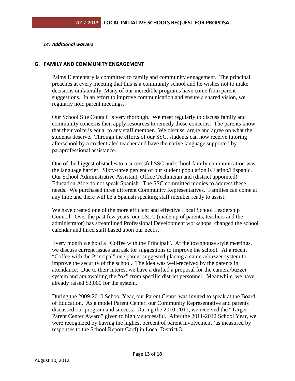## *14. Additional waivers*

## **G. FAMILY AND COMMUNITY ENGAGEMENT**

Palms Elementary is committed to family and community engagement. The principal preaches at every meeting that this is a community school and he wishes not to make decisions unilaterally. Many of our incredible programs have come from parent suggestions. In an effort to improve communication and ensure a shared vision, we regularly hold parent meetings.

Our School Site Council is very thorough. We meet regularly to discuss family and community concerns then apply resources to remedy those concerns. The parents know that their voice is equal to any staff member. We discuss, argue and agree on what the students deserve. Through the efforts of our SSC, students can now receive tutoring afterschool by a credentialed teacher and have the native language supported by paraprofessional assistance.

One of the biggest obstacles to a successful SSC and school-family communication was the language barrier. Sixty-three percent of our student population is Latino/Hispanic. Our School Administrative Assistant, Office Technician and (district appointed) Education Aide do not speak Spanish. The SSC committed monies to address these needs. We purchased three different Community Representatives. Families can come at any time and there will be a Spanish speaking staff member ready to assist.

We have created one of the more efficient and effective Local School Leadership Council. Over the past few years, our LSLC (made up of parents, teachers and the administrator) has streamlined Professional Development workshops, changed the school calendar and hired staff based upon our needs.

Every month we hold a "Coffee with the Principal". At the townhouse style meetings, we discuss current issues and ask for suggestions to improve the school. At a recent "Coffee with the Principal" one parent suggested placing a camera/buzzer system to improve the security of the school. The idea was well-received by the parents in attendance. Due to their interest we have a drafted a proposal for the camera/buzzer system and am awaiting the "ok" from specific district personnel. Meanwhile, we have already raised \$3,000 for the system.

During the 2009-2010 School Year, our Parent Center was invited to speak at the Board of Education. As a model Parent Center, our Community Representative and parents discussed our program and success. During the 2010-2011, we received the "Target Parent Center Award" given to highly successful. After the 2011-2012 School Year, we were recognized by having the highest percent of parent involvement (as measured by responses to the School Report Card) in Local District 3.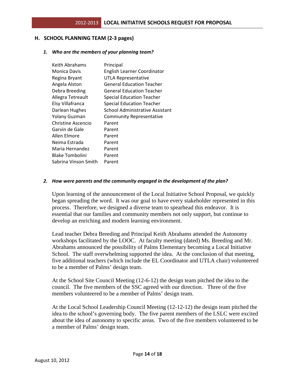## **H. SCHOOL PLANNING TEAM (2-3 pages)**

#### *1. Who are the members of your planning team?*

| Keith Abrahams         | Principal                          |
|------------------------|------------------------------------|
| Monica Davis           | <b>English Learner Coordinator</b> |
| Regina Bryant          | <b>UTLA Representative</b>         |
| Angela Alston          | General Education Teacher          |
| Debra Breeding         | <b>General Education Teacher</b>   |
| Allegra Tetreault      | <b>Special Education Teacher</b>   |
| Elsy Villafranca       | <b>Special Education Teacher</b>   |
| Darlean Hughes         | School Administrative Assistant    |
| <b>Yolany Guzman</b>   | <b>Community Representative</b>    |
| Christine Ascencio     | Parent                             |
| Garvin de Gale         | Parent                             |
| Allen Elmore           | Parent                             |
| Neima Estrada          | Parent                             |
| Maria Hernandez        | Parent                             |
| <b>Blake Tombolini</b> | Parent                             |
| Sabrina Vinson Smith   | Parent                             |

#### *2. How were parents and the community engaged in the development of the plan?*

Upon learning of the announcement of the Local Initiative School Proposal, we quickly began spreading the word. It was our goal to have every stakeholder represented in this process. Therefore, we designed a diverse team to spearhead this endeavor. It is essential that our families and community members not only support, but continue to develop an enriching and modern learning environment.

Lead teacher Debra Breeding and Principal Keith Abrahams attended the Autonomy workshops facilitated by the LOOC. At faculty meeting (dated) Ms. Breeding and Mr. Abrahams announced the possibility of Palms Elementary becoming a Local Initiative School. The staff overwhelming supported the idea. At the conclusion of that meeting, five additional teachers (which include the EL Coordinator and UTLA chair) volunteered to be a member of Palms' design team.

At the School Site Council Meeting (12-6-12) the design team pitched the idea to the council. The five members of the SSC agreed with our direction. Three of the five members volunteered to be a member of Palms' design team.

At the Local School Leadership Council Meeting (12-12-12) the design team pitched the idea to the school's governing body. The five parent members of the LSLC were excited about the idea of autonomy to specific areas. Two of the five members volunteered to be a member of Palms' design team.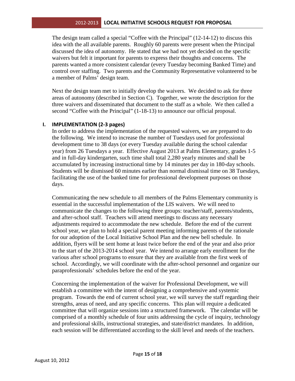The design team called a special "Coffee with the Principal" (12-14-12) to discuss this idea with the all available parents. Roughly 60 parents were present when the Principal discussed the idea of autonomy. He stated that we had not yet decided on the specific waivers but felt it important for parents to express their thoughts and concerns. The parents wanted a more consistent calendar (every Tuesday becoming Banked Time) and control over staffing. Two parents and the Community Representative volunteered to be a member of Palms' design team.

Next the design team met to initially develop the waivers. We decided to ask for three areas of autonomy (described in Section C). Together, we wrote the description for the three waivers and disseminated that document to the staff as a whole. We then called a second "Coffee with the Principal" (1-18-13) to announce our official proposal.

## **I. IMPLEMENTATION (2-3 pages)**

In order to address the implementation of the requested waivers, we are prepared to do the following. We intend to increase the number of Tuesdays used for professional development time to 38 days (or every Tuesday available during the school calendar year) from 26 Tuesdays a year. Effective August 2013 at Palms Elementary, grades 1-5 and in full-day kindergarten, such time shall total 2,280 yearly minutes and shall be accumulated by increasing instructional time by 14 minutes per day in 180-day schools. Students will be dismissed 60 minutes earlier than normal dismissal time on 38 Tuesdays, facilitating the use of the banked time for professional development purposes on those days.

Communicating the new schedule to all members of the Palms Elementary community is essential in the successful implementation of the LIS waivers. We will need to communicate the changes to the following three groups: teacher/staff, parents/students, and after-school staff. Teachers will attend meetings to discuss any necessary adjustments required to accommodate the new schedule. Before the end of the current school year, we plan to hold a special parent meeting informing parents of the rationale for our adoption of the Local Initiative School Plan and the new bell schedule. In addition, flyers will be sent home at least twice before the end of the year and also prior to the start of the 2013-2014 school year. We intend to arrange early enrollment for the various after school programs to ensure that they are available from the first week of school. Accordingly, we will coordinate with the after-school personnel and organize our paraprofessionals' schedules before the end of the year.

Concerning the implementation of the waiver for Professional Development, we will establish a committee with the intent of designing a comprehensive and systemic program. Towards the end of current school year, we will survey the staff regarding their strengths, areas of need, and any specific concerns. This plan will require a dedicated committee that will organize sessions into a structured framework. The calendar will be comprised of a monthly schedule of four units addressing the cycle of inquiry, technology and professional skills, instructional strategies, and state/district mandates. In addition, each session will be differentiated according to the skill level and needs of the teachers.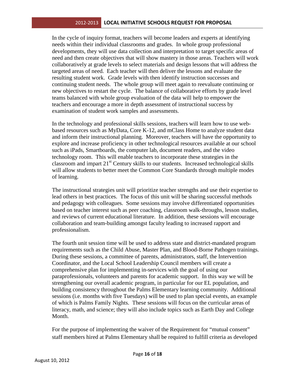In the cycle of inquiry format, teachers will become leaders and experts at identifying needs within their individual classrooms and grades. In whole group professional developments, they will use data collection and interpretation to target specific areas of need and then create objectives that will show mastery in those areas. Teachers will work collaboratively at grade levels to select materials and design lessons that will address the targeted areas of need. Each teacher will then deliver the lessons and evaluate the resulting student work. Grade levels with then identify instruction successes and continuing student needs. The whole group will meet again to reevaluate continuing or new objectives to restart the cycle. The balance of collaborative efforts by grade level teams balanced with whole group evaluation of the data will help to empower the teachers and encourage a more in depth assessment of instructional success by examination of student work samples and assessments.

In the technology and professional skills sessions, teachers will learn how to use webbased resources such as MyData, Core K-12, and mClass Home to analyze student data and inform their instructional planning. Moreover, teachers will have the opportunity to explore and increase proficiency in other technological resources available at our school such as iPads, Smartboards, the computer lab, document readers, and the video technology room. This will enable teachers to incorporate these strategies in the classroom and impart  $21<sup>st</sup>$  Century skills to our students. Increased technological skills will allow students to better meet the Common Core Standards through multiple modes of learning.

The instructional strategies unit will prioritize teacher strengths and use their expertise to lead others in best practices. The focus of this unit will be sharing successful methods and pedagogy with colleagues. Some sessions may involve differentiated opportunities based on teacher interest such as peer coaching, classroom walk-throughs, lesson studies, and reviews of current educational literature. In addition, these sessions will encourage collaboration and team-building amongst faculty leading to increased rapport and professionalism.

The fourth unit session time will be used to address state and district-mandated program requirements such as the Child Abuse, Master Plan, and Blood-Borne Pathogen trainings. During these sessions, a committee of parents, administrators, staff, the Intervention Coordinator, and the Local School Leadership Council members will create a comprehensive plan for implementing in-services with the goal of using our paraprofessionals, volunteers and parents for academic support. In this way we will be strengthening our overall academic program, in particular for our EL population, and building consistency throughout the Palms Elementary learning community. Additional sessions (i.e. months with five Tuesdays) will be used to plan special events, an example of which is Palms Family Nights. These sessions will focus on the curricular areas of literacy, math, and science; they will also include topics such as Earth Day and College Month.

For the purpose of implementing the waiver of the Requirement for "mutual consent" staff members hired at Palms Elementary shall be required to fulfill criteria as developed